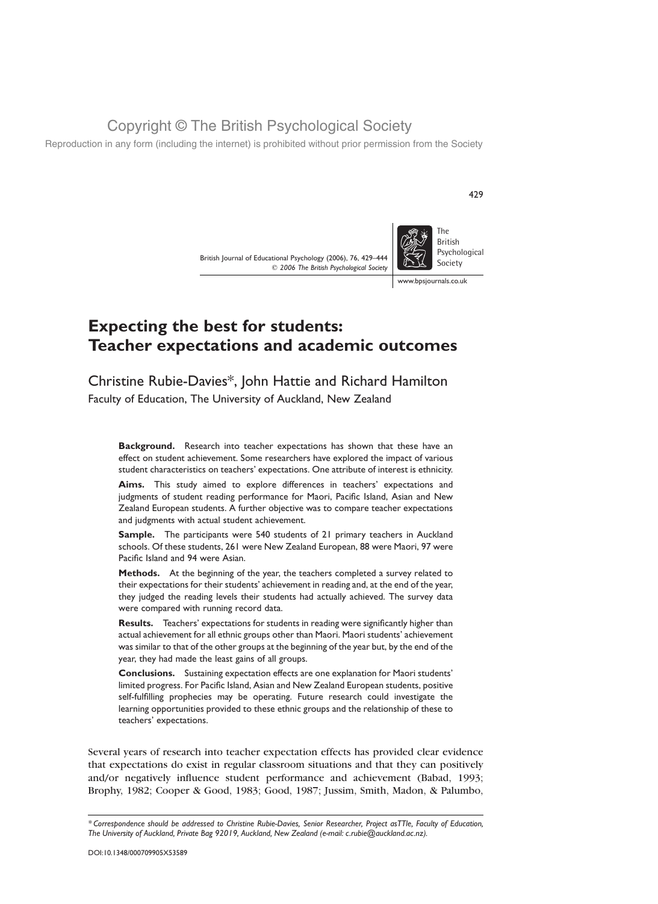Reproduction in any form (including the internet) is prohibited without prior permission from the Society

British Journal of Educational Psychology (2006), 76, 429–444  $Q$  2006 The British Psychological Society



# Expecting the best for students: Teacher expectations and academic outcomes

Christine Rubie-Davies\*, John Hattie and Richard Hamilton Faculty of Education, The University of Auckland, New Zealand

**Background.** Research into teacher expectations has shown that these have an effect on student achievement. Some researchers have explored the impact of various student characteristics on teachers' expectations. One attribute of interest is ethnicity.

Aims. This study aimed to explore differences in teachers' expectations and judgments of student reading performance for Maori, Pacific Island, Asian and New Zealand European students. A further objective was to compare teacher expectations and judgments with actual student achievement.

Sample. The participants were 540 students of 21 primary teachers in Auckland schools. Of these students, 261 were New Zealand European, 88 were Maori, 97 were Pacific Island and 94 were Asian.

Methods. At the beginning of the year, the teachers completed a survey related to their expectations for their students' achievement in reading and, at the end of the year, they judged the reading levels their students had actually achieved. The survey data were compared with running record data.

Results. Teachers' expectations for students in reading were significantly higher than actual achievement for all ethnic groups other than Maori. Maori students' achievement was similar to that of the other groups at the beginning of the year but, by the end of the year, they had made the least gains of all groups.

Conclusions. Sustaining expectation effects are one explanation for Maori students' limited progress. For Pacific Island, Asian and New Zealand European students, positive self-fulfilling prophecies may be operating. Future research could investigate the learning opportunities provided to these ethnic groups and the relationship of these to teachers' expectations.

Several years of research into teacher expectation effects has provided clear evidence that expectations do exist in regular classroom situations and that they can positively and/or negatively influence student performance and achievement (Babad, 1993; Brophy, 1982; Cooper & Good, 1983; Good, 1987; Jussim, Smith, Madon, & Palumbo,

429

<sup>\*</sup> Correspondence should be addressed to Christine Rubie-Davies, Senior Researcher, Project asTTle, Faculty of Education, The University of Auckland, Private Bag 92019, Auckland, New Zealand (e-mail: c.rubie@auckland.ac.nz).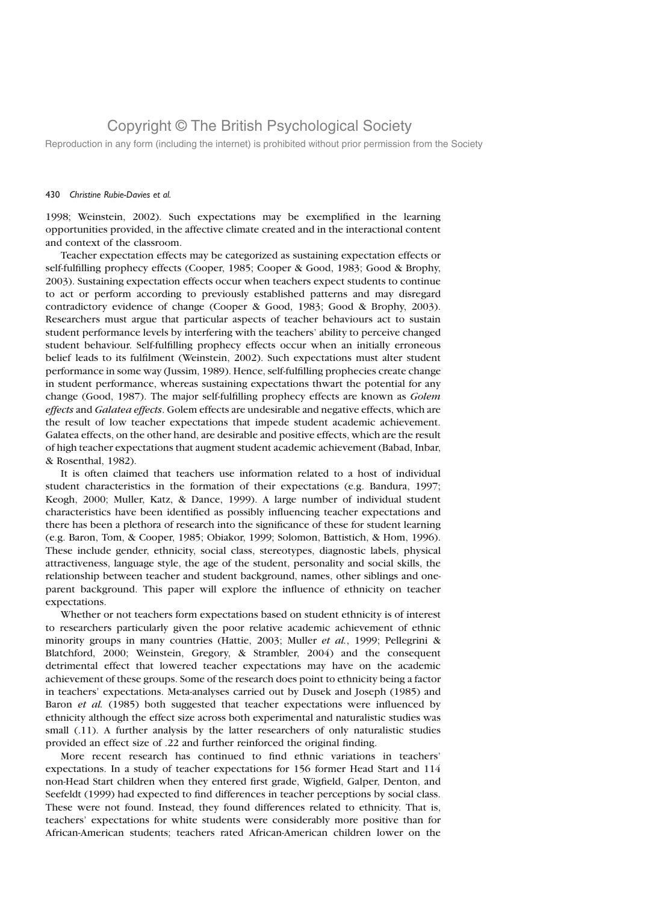Reproduction in any form (including the internet) is prohibited without prior permission from the Society

#### 430 Christine Rubie-Davies et al.

1998; Weinstein, 2002). Such expectations may be exemplified in the learning opportunities provided, in the affective climate created and in the interactional content and context of the classroom.

Teacher expectation effects may be categorized as sustaining expectation effects or self-fulfilling prophecy effects (Cooper, 1985; Cooper & Good, 1983; Good & Brophy, 2003). Sustaining expectation effects occur when teachers expect students to continue to act or perform according to previously established patterns and may disregard contradictory evidence of change (Cooper & Good, 1983; Good & Brophy, 2003). Researchers must argue that particular aspects of teacher behaviours act to sustain student performance levels by interfering with the teachers' ability to perceive changed student behaviour. Self-fulfilling prophecy effects occur when an initially erroneous belief leads to its fulfilment (Weinstein, 2002). Such expectations must alter student performance in some way (Jussim, 1989). Hence, self-fulfilling prophecies create change in student performance, whereas sustaining expectations thwart the potential for any change (Good, 1987). The major self-fulfilling prophecy effects are known as Golem effects and Galatea effects. Golem effects are undesirable and negative effects, which are the result of low teacher expectations that impede student academic achievement. Galatea effects, on the other hand, are desirable and positive effects, which are the result of high teacher expectations that augment student academic achievement (Babad, Inbar, & Rosenthal, 1982).

It is often claimed that teachers use information related to a host of individual student characteristics in the formation of their expectations (e.g. Bandura, 1997; Keogh, 2000; Muller, Katz, & Dance, 1999). A large number of individual student characteristics have been identified as possibly influencing teacher expectations and there has been a plethora of research into the significance of these for student learning (e.g. Baron, Tom, & Cooper, 1985; Obiakor, 1999; Solomon, Battistich, & Hom, 1996). These include gender, ethnicity, social class, stereotypes, diagnostic labels, physical attractiveness, language style, the age of the student, personality and social skills, the relationship between teacher and student background, names, other siblings and oneparent background. This paper will explore the influence of ethnicity on teacher expectations.

Whether or not teachers form expectations based on student ethnicity is of interest to researchers particularly given the poor relative academic achievement of ethnic minority groups in many countries (Hattie, 2003; Muller et al., 1999; Pellegrini & Blatchford, 2000; Weinstein, Gregory, & Strambler, 2004) and the consequent detrimental effect that lowered teacher expectations may have on the academic achievement of these groups. Some of the research does point to ethnicity being a factor in teachers' expectations. Meta-analyses carried out by Dusek and Joseph (1985) and Baron et al. (1985) both suggested that teacher expectations were influenced by ethnicity although the effect size across both experimental and naturalistic studies was small (.11). A further analysis by the latter researchers of only naturalistic studies provided an effect size of .22 and further reinforced the original finding.

More recent research has continued to find ethnic variations in teachers' expectations. In a study of teacher expectations for 156 former Head Start and 114 non-Head Start children when they entered first grade, Wigfield, Galper, Denton, and Seefeldt (1999) had expected to find differences in teacher perceptions by social class. These were not found. Instead, they found differences related to ethnicity. That is, teachers' expectations for white students were considerably more positive than for African-American students; teachers rated African-American children lower on the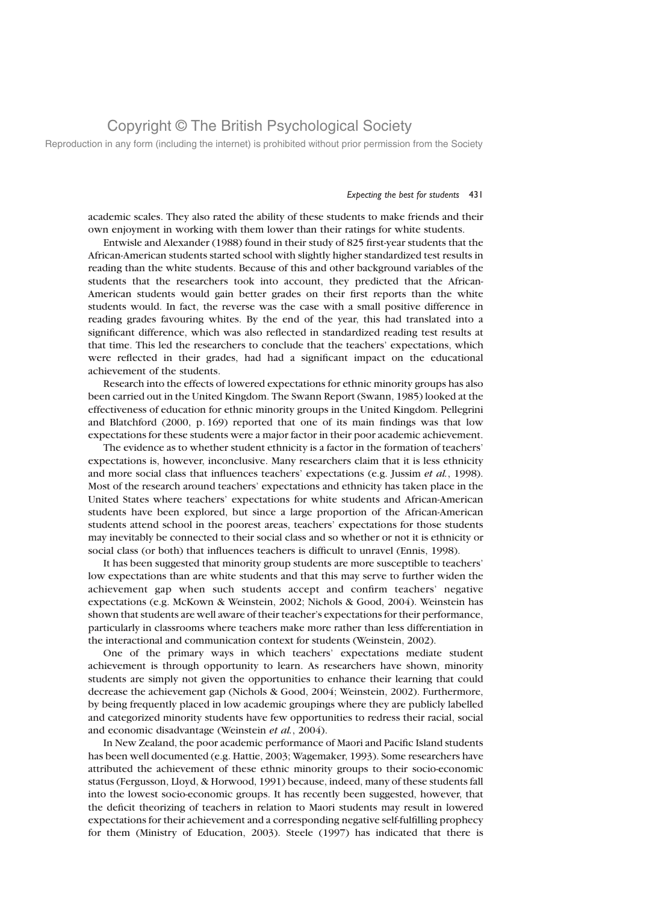Reproduction in any form (including the internet) is prohibited without prior permission from the Society

### Expecting the best for students 431

academic scales. They also rated the ability of these students to make friends and their own enjoyment in working with them lower than their ratings for white students.

Entwisle and Alexander (1988) found in their study of 825 first-year students that the African-American students started school with slightly higher standardized test results in reading than the white students. Because of this and other background variables of the students that the researchers took into account, they predicted that the African-American students would gain better grades on their first reports than the white students would. In fact, the reverse was the case with a small positive difference in reading grades favouring whites. By the end of the year, this had translated into a significant difference, which was also reflected in standardized reading test results at that time. This led the researchers to conclude that the teachers' expectations, which were reflected in their grades, had had a significant impact on the educational achievement of the students.

Research into the effects of lowered expectations for ethnic minority groups has also been carried out in the United Kingdom. The Swann Report (Swann, 1985) looked at the effectiveness of education for ethnic minority groups in the United Kingdom. Pellegrini and Blatchford (2000, p. 169) reported that one of its main findings was that low expectations for these students were a major factor in their poor academic achievement.

The evidence as to whether student ethnicity is a factor in the formation of teachers' expectations is, however, inconclusive. Many researchers claim that it is less ethnicity and more social class that influences teachers' expectations (e.g. Jussim et al., 1998). Most of the research around teachers' expectations and ethnicity has taken place in the United States where teachers' expectations for white students and African-American students have been explored, but since a large proportion of the African-American students attend school in the poorest areas, teachers' expectations for those students may inevitably be connected to their social class and so whether or not it is ethnicity or social class (or both) that influences teachers is difficult to unravel (Ennis, 1998).

It has been suggested that minority group students are more susceptible to teachers' low expectations than are white students and that this may serve to further widen the achievement gap when such students accept and confirm teachers' negative expectations (e.g. McKown & Weinstein, 2002; Nichols & Good, 2004). Weinstein has shown that students are well aware of their teacher's expectations for their performance, particularly in classrooms where teachers make more rather than less differentiation in the interactional and communication context for students (Weinstein, 2002).

One of the primary ways in which teachers' expectations mediate student achievement is through opportunity to learn. As researchers have shown, minority students are simply not given the opportunities to enhance their learning that could decrease the achievement gap (Nichols & Good, 2004; Weinstein, 2002). Furthermore, by being frequently placed in low academic groupings where they are publicly labelled and categorized minority students have few opportunities to redress their racial, social and economic disadvantage (Weinstein et al., 2004).

In New Zealand, the poor academic performance of Maori and Pacific Island students has been well documented (e.g. Hattie, 2003; Wagemaker, 1993). Some researchers have attributed the achievement of these ethnic minority groups to their socio-economic status (Fergusson, Lloyd, & Horwood, 1991) because, indeed, many of these students fall into the lowest socio-economic groups. It has recently been suggested, however, that the deficit theorizing of teachers in relation to Maori students may result in lowered expectations for their achievement and a corresponding negative self-fulfilling prophecy for them (Ministry of Education, 2003). Steele (1997) has indicated that there is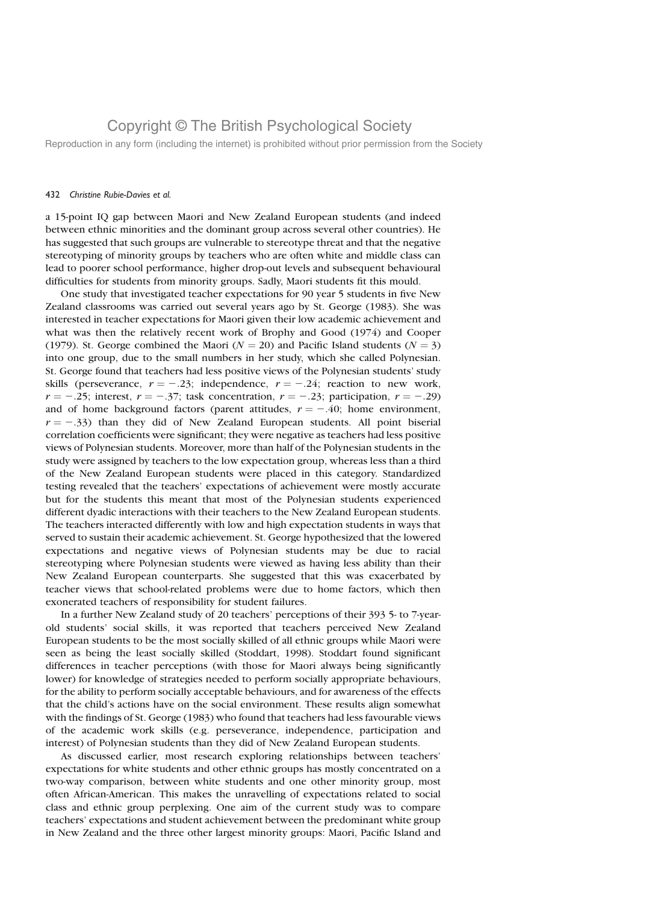Reproduction in any form (including the internet) is prohibited without prior permission from the Society

#### 432 Christine Rubie-Davies et al.

a 15-point IQ gap between Maori and New Zealand European students (and indeed between ethnic minorities and the dominant group across several other countries). He has suggested that such groups are vulnerable to stereotype threat and that the negative stereotyping of minority groups by teachers who are often white and middle class can lead to poorer school performance, higher drop-out levels and subsequent behavioural difficulties for students from minority groups. Sadly, Maori students fit this mould.

One study that investigated teacher expectations for 90 year 5 students in five New Zealand classrooms was carried out several years ago by St. George (1983). She was interested in teacher expectations for Maori given their low academic achievement and what was then the relatively recent work of Brophy and Good (1974) and Cooper (1979). St. George combined the Maori ( $N = 20$ ) and Pacific Island students ( $N = 3$ ) into one group, due to the small numbers in her study, which she called Polynesian. St. George found that teachers had less positive views of the Polynesian students' study skills (perseverance,  $r = -.23$ ; independence,  $r = -.24$ ; reaction to new work,  $r = -.25$ ; interest,  $r = -.37$ ; task concentration,  $r = -.23$ ; participation,  $r = -.29$ ) and of home background factors (parent attitudes,  $r = -.40$ ; home environment,  $r = -.33$ ) than they did of New Zealand European students. All point biserial correlation coefficients were significant; they were negative as teachers had less positive views of Polynesian students. Moreover, more than half of the Polynesian students in the study were assigned by teachers to the low expectation group, whereas less than a third of the New Zealand European students were placed in this category. Standardized testing revealed that the teachers' expectations of achievement were mostly accurate but for the students this meant that most of the Polynesian students experienced different dyadic interactions with their teachers to the New Zealand European students. The teachers interacted differently with low and high expectation students in ways that served to sustain their academic achievement. St. George hypothesized that the lowered expectations and negative views of Polynesian students may be due to racial stereotyping where Polynesian students were viewed as having less ability than their New Zealand European counterparts. She suggested that this was exacerbated by teacher views that school-related problems were due to home factors, which then exonerated teachers of responsibility for student failures.

In a further New Zealand study of 20 teachers' perceptions of their 393 5- to 7-yearold students' social skills, it was reported that teachers perceived New Zealand European students to be the most socially skilled of all ethnic groups while Maori were seen as being the least socially skilled (Stoddart, 1998). Stoddart found significant differences in teacher perceptions (with those for Maori always being significantly lower) for knowledge of strategies needed to perform socially appropriate behaviours, for the ability to perform socially acceptable behaviours, and for awareness of the effects that the child's actions have on the social environment. These results align somewhat with the findings of St. George (1983) who found that teachers had less favourable views of the academic work skills (e.g. perseverance, independence, participation and interest) of Polynesian students than they did of New Zealand European students.

As discussed earlier, most research exploring relationships between teachers' expectations for white students and other ethnic groups has mostly concentrated on a two-way comparison, between white students and one other minority group, most often African-American. This makes the unravelling of expectations related to social class and ethnic group perplexing. One aim of the current study was to compare teachers' expectations and student achievement between the predominant white group in New Zealand and the three other largest minority groups: Maori, Pacific Island and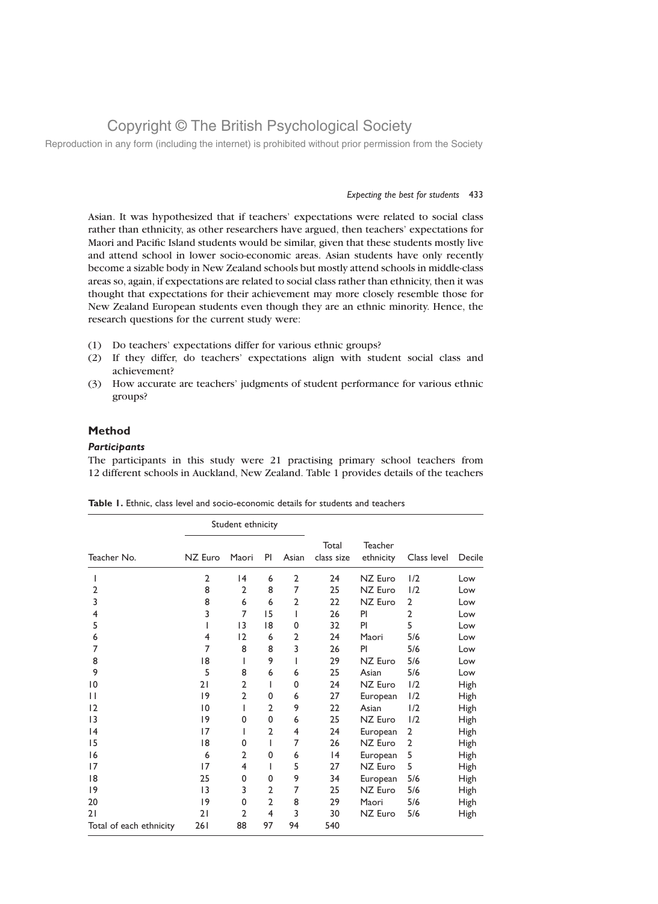Reproduction in any form (including the internet) is prohibited without prior permission from the Society

### Expecting the best for students 433

Asian. It was hypothesized that if teachers' expectations were related to social class rather than ethnicity, as other researchers have argued, then teachers' expectations for Maori and Pacific Island students would be similar, given that these students mostly live and attend school in lower socio-economic areas. Asian students have only recently become a sizable body in New Zealand schools but mostly attend schools in middle-class areas so, again, if expectations are related to social class rather than ethnicity, then it was thought that expectations for their achievement may more closely resemble those for New Zealand European students even though they are an ethnic minority. Hence, the research questions for the current study were:

- (1) Do teachers' expectations differ for various ethnic groups?
- (2) If they differ, do teachers' expectations align with student social class and achievement?
- (3) How accurate are teachers' judgments of student performance for various ethnic groups?

### Method

### **Participants**

The participants in this study were 21 practising primary school teachers from 12 different schools in Auckland, New Zealand. Table 1 provides details of the teachers

|                         | Student ethnicity |                 |                |                |                     |                             |                |             |
|-------------------------|-------------------|-----------------|----------------|----------------|---------------------|-----------------------------|----------------|-------------|
| Teacher No.             | NZ Euro           | Maori           | PI             | Asian          | Total<br>class size | <b>Teacher</b><br>ethnicity | Class level    | Decile      |
|                         | $\overline{2}$    | $\overline{14}$ | 6              | $\overline{2}$ | 24                  | NZ Euro                     | 1/2            | Low         |
| $\overline{2}$          | 8                 | $\mathbf{2}$    | 8              | 7              | 25                  | NZ Euro                     | 1/2            | Low         |
| 3                       | 8                 | 6               | 6              | $\overline{2}$ | 22                  | NZ Euro                     | $\overline{2}$ | Low         |
| $\overline{4}$          | 3                 | $\overline{7}$  | 15             | I              | 26                  | PI                          | $\overline{2}$ | Low         |
| 5                       | ı                 | 13              | 18             | $\mathbf 0$    | 32                  | PI                          | 5              | Low         |
| 6                       | 4                 | 12              | 6              | $\overline{2}$ | 24                  | Maori                       | 5/6            | Low         |
| 7                       | 7                 | 8               | 8              | 3              | 26                  | PI                          | 5/6            | Low         |
| 8                       | 18                | I               | 9              |                | 29                  | NZ Euro                     | 5/6            | Low         |
| 9                       | 5                 | 8               | 6              | 6              | 25                  | Asian                       | 5/6            | Low         |
| 10                      | 21                | $\overline{2}$  | $\mathsf{l}$   | $\mathbf 0$    | 24                  | NZ Euro                     | 1/2            | <b>High</b> |
| $\mathsf{I}$            | 9                 | $\overline{2}$  | 0              | 6              | 27                  | European                    | 1/2            | High        |
| 12                      | $ 0\rangle$       | ı               | 2              | 9              | 22                  | Asian                       | 1/2            | <b>High</b> |
| 13                      | 9                 | 0               | 0              | 6              | 25                  | NZ Euro                     | 1/2            | <b>High</b> |
| 4                       | 17                | I               | $\overline{2}$ | 4              | 24                  | European                    | $\overline{2}$ | <b>High</b> |
| 15                      | 18                | 0               | I              | 7              | 26                  | NZ Euro                     | $\overline{2}$ | High        |
| 16                      | 6                 | $\overline{2}$  | 0              | 6              | 4                   | European                    | 5              | High        |
| 17                      | 17                | 4               | I              | 5              | 27                  | NZ Euro                     | 5              | <b>High</b> |
| 8                       | 25                | 0               | 0              | 9              | 34                  | European                    | 5/6            | High        |
| 19                      | 13                | 3               | $\overline{2}$ | 7              | 25                  | NZ Euro                     | 5/6            | High        |
| 20                      | 9                 | $\Omega$        | $\overline{2}$ | 8              | 29                  | Maori                       | 5/6            | High        |
| 21                      | 21                | $\overline{2}$  | $\overline{4}$ | 3              | 30                  | NZ Euro                     | 5/6            | <b>High</b> |
| Total of each ethnicity | 261               | 88              | 97             | 94             | 540                 |                             |                |             |

|  |  |  |  |  | <b>Table 1.</b> Ethnic, class level and socio-economic details for students and teachers |  |  |  |  |  |
|--|--|--|--|--|------------------------------------------------------------------------------------------|--|--|--|--|--|
|--|--|--|--|--|------------------------------------------------------------------------------------------|--|--|--|--|--|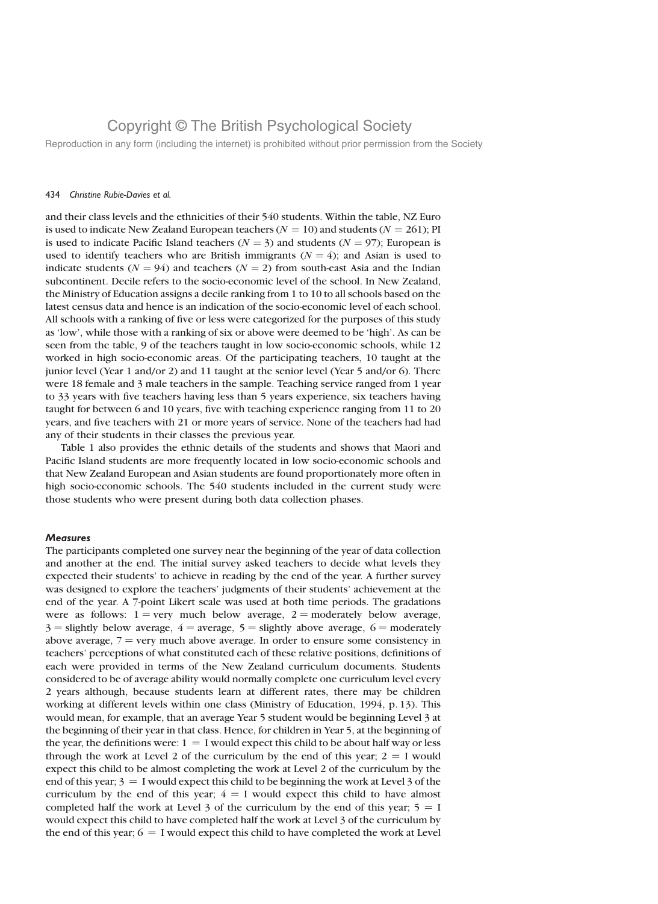Reproduction in any form (including the internet) is prohibited without prior permission from the Society

#### 434 Christine Rubie-Davies et al.

and their class levels and the ethnicities of their 540 students. Within the table, NZ Euro is used to indicate New Zealand European teachers ( $N = 10$ ) and students ( $N = 261$ ); PI is used to indicate Pacific Island teachers ( $N = 3$ ) and students ( $N = 97$ ); European is used to identify teachers who are British immigrants  $(N = 4)$ ; and Asian is used to indicate students ( $N = 94$ ) and teachers ( $N = 2$ ) from south-east Asia and the Indian subcontinent. Decile refers to the socio-economic level of the school. In New Zealand, the Ministry of Education assigns a decile ranking from 1 to 10 to all schools based on the latest census data and hence is an indication of the socio-economic level of each school. All schools with a ranking of five or less were categorized for the purposes of this study as 'low', while those with a ranking of six or above were deemed to be 'high'. As can be seen from the table, 9 of the teachers taught in low socio-economic schools, while 12 worked in high socio-economic areas. Of the participating teachers, 10 taught at the junior level (Year 1 and/or 2) and 11 taught at the senior level (Year 5 and/or 6). There were 18 female and 3 male teachers in the sample. Teaching service ranged from 1 year to 33 years with five teachers having less than 5 years experience, six teachers having taught for between 6 and 10 years, five with teaching experience ranging from 11 to 20 years, and five teachers with 21 or more years of service. None of the teachers had had any of their students in their classes the previous year.

Table 1 also provides the ethnic details of the students and shows that Maori and Pacific Island students are more frequently located in low socio-economic schools and that New Zealand European and Asian students are found proportionately more often in high socio-economic schools. The 540 students included in the current study were those students who were present during both data collection phases.

### Measures

The participants completed one survey near the beginning of the year of data collection and another at the end. The initial survey asked teachers to decide what levels they expected their students' to achieve in reading by the end of the year. A further survey was designed to explore the teachers' judgments of their students' achievement at the end of the year. A 7-point Likert scale was used at both time periods. The gradations were as follows:  $1 = \text{very much below average}, 2 = \text{moderately below average},$  $3$  = slightly below average,  $4$  = average,  $5$  = slightly above average,  $6$  = moderately above average,  $7 = \text{very much above average}$ . In order to ensure some consistency in teachers' perceptions of what constituted each of these relative positions, definitions of each were provided in terms of the New Zealand curriculum documents. Students considered to be of average ability would normally complete one curriculum level every 2 years although, because students learn at different rates, there may be children working at different levels within one class (Ministry of Education, 1994, p. 13). This would mean, for example, that an average Year 5 student would be beginning Level 3 at the beginning of their year in that class. Hence, for children in Year 5, at the beginning of the year, the definitions were:  $1 = I$  would expect this child to be about half way or less through the work at Level 2 of the curriculum by the end of this year;  $2 = I$  would expect this child to be almost completing the work at Level 2 of the curriculum by the end of this year;  $3 = I$  would expect this child to be beginning the work at Level 3 of the curriculum by the end of this year;  $4 = I$  would expect this child to have almost completed half the work at Level 3 of the curriculum by the end of this year;  $5 = I$ would expect this child to have completed half the work at Level 3 of the curriculum by the end of this year;  $6 = I$  would expect this child to have completed the work at Level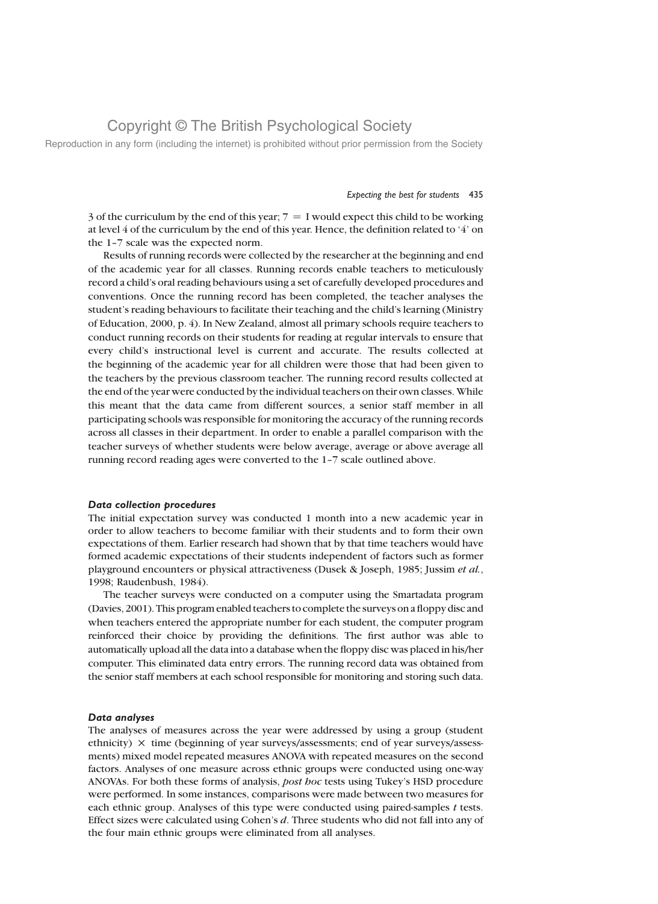Reproduction in any form (including the internet) is prohibited without prior permission from the Society

### Expecting the best for students 435

3 of the curriculum by the end of this year;  $7 = I$  would expect this child to be working at level  $4$  of the curriculum by the end of this year. Hence, the definition related to  $4$  on the 1–7 scale was the expected norm.

Results of running records were collected by the researcher at the beginning and end of the academic year for all classes. Running records enable teachers to meticulously record a child's oral reading behaviours using a set of carefully developed procedures and conventions. Once the running record has been completed, the teacher analyses the student's reading behaviours to facilitate their teaching and the child's learning (Ministry of Education, 2000, p. 4). In New Zealand, almost all primary schools require teachers to conduct running records on their students for reading at regular intervals to ensure that every child's instructional level is current and accurate. The results collected at the beginning of the academic year for all children were those that had been given to the teachers by the previous classroom teacher. The running record results collected at the end of the year were conducted by the individual teachers on their own classes. While this meant that the data came from different sources, a senior staff member in all participating schools was responsible for monitoring the accuracy of the running records across all classes in their department. In order to enable a parallel comparison with the teacher surveys of whether students were below average, average or above average all running record reading ages were converted to the 1–7 scale outlined above.

#### Data collection procedures

The initial expectation survey was conducted 1 month into a new academic year in order to allow teachers to become familiar with their students and to form their own expectations of them. Earlier research had shown that by that time teachers would have formed academic expectations of their students independent of factors such as former playground encounters or physical attractiveness (Dusek & Joseph, 1985; Jussim et al., 1998; Raudenbush, 1984).

The teacher surveys were conducted on a computer using the Smartadata program (Davies, 2001). This program enabled teachers to complete the surveys on a floppy disc and when teachers entered the appropriate number for each student, the computer program reinforced their choice by providing the definitions. The first author was able to automatically upload all the data into a database when the floppy disc was placed in his/her computer. This eliminated data entry errors. The running record data was obtained from the senior staff members at each school responsible for monitoring and storing such data.

### Data analyses

The analyses of measures across the year were addressed by using a group (student ethnicity) *£* time (beginning of year surveys/assessments; end of year surveys/assessments) mixed model repeated measures ANOVA with repeated measures on the second factors. Analyses of one measure across ethnic groups were conducted using one-way ANOVAs. For both these forms of analysis, post hoc tests using Tukey's HSD procedure were performed. In some instances, comparisons were made between two measures for each ethnic group. Analyses of this type were conducted using paired-samples  $t$  tests. Effect sizes were calculated using Cohen's d. Three students who did not fall into any of the four main ethnic groups were eliminated from all analyses.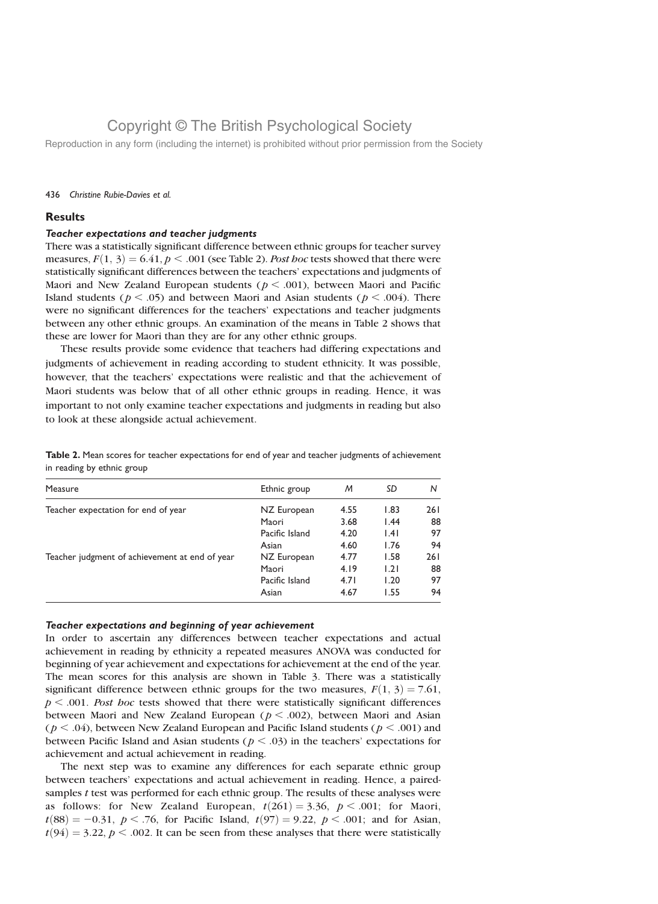Reproduction in any form (including the internet) is prohibited without prior permission from the Society

### 436 Christine Rubie-Davies et al.

### **Results**

### Teacher expectations and teacher judgments

There was a statistically significant difference between ethnic groups for teacher survey measures,  $F(1, 3) = 6.41$ ,  $p < .001$  (see Table 2). Post hoc tests showed that there were statistically significant differences between the teachers' expectations and judgments of Maori and New Zealand European students ( $p < .001$ ), between Maori and Pacific Island students ( $p < .05$ ) and between Maori and Asian students ( $p < .004$ ). There were no significant differences for the teachers' expectations and teacher judgments between any other ethnic groups. An examination of the means in Table 2 shows that these are lower for Maori than they are for any other ethnic groups.

These results provide some evidence that teachers had differing expectations and judgments of achievement in reading according to student ethnicity. It was possible, however, that the teachers' expectations were realistic and that the achievement of Maori students was below that of all other ethnic groups in reading. Hence, it was important to not only examine teacher expectations and judgments in reading but also to look at these alongside actual achievement.

| Table 2. Mean scores for teacher expectations for end of year and teacher judgments of achievement |  |  |
|----------------------------------------------------------------------------------------------------|--|--|
| in reading by ethnic group                                                                         |  |  |

| Measure                                        | Ethnic group   | M    | SD   | N    |
|------------------------------------------------|----------------|------|------|------|
| Teacher expectation for end of year            | NZ European    | 4.55 | 1.83 | 26 I |
|                                                | Maori          | 3.68 | 1.44 | 88   |
|                                                | Pacific Island | 4.20 | .4   | 97   |
|                                                | Asian          | 4.60 | 1.76 | 94   |
| Teacher judgment of achievement at end of year | NZ European    | 4.77 | 1.58 | 261  |
|                                                | Maori          | 4.19 | 1.21 | 88   |
|                                                | Pacific Island | 4.71 | 1.20 | 97   |
|                                                | Asian          | 4.67 | 1.55 | 94   |

### Teacher expectations and beginning of year achievement

In order to ascertain any differences between teacher expectations and actual achievement in reading by ethnicity a repeated measures ANOVA was conducted for beginning of year achievement and expectations for achievement at the end of the year. The mean scores for this analysis are shown in Table 3. There was a statistically significant difference between ethnic groups for the two measures,  $F(1, 3) = 7.61$ ,  $p < .001$ . Post hoc tests showed that there were statistically significant differences between Maori and New Zealand European ( $p < .002$ ), between Maori and Asian  $(p < .04)$ , between New Zealand European and Pacific Island students ( $p < .001$ ) and between Pacific Island and Asian students ( $p < .03$ ) in the teachers' expectations for achievement and actual achievement in reading.

The next step was to examine any differences for each separate ethnic group between teachers' expectations and actual achievement in reading. Hence, a pairedsamples t test was performed for each ethnic group. The results of these analyses were as follows: for New Zealand European,  $t(261) = 3.36$ ,  $p < .001$ ; for Maori,  $t(88) = -0.31, p < .76$ , for Pacific Island,  $t(97) = 9.22, p < .001$ ; and for Asian,  $t(94) = 3.22, p < .002$ . It can be seen from these analyses that there were statistically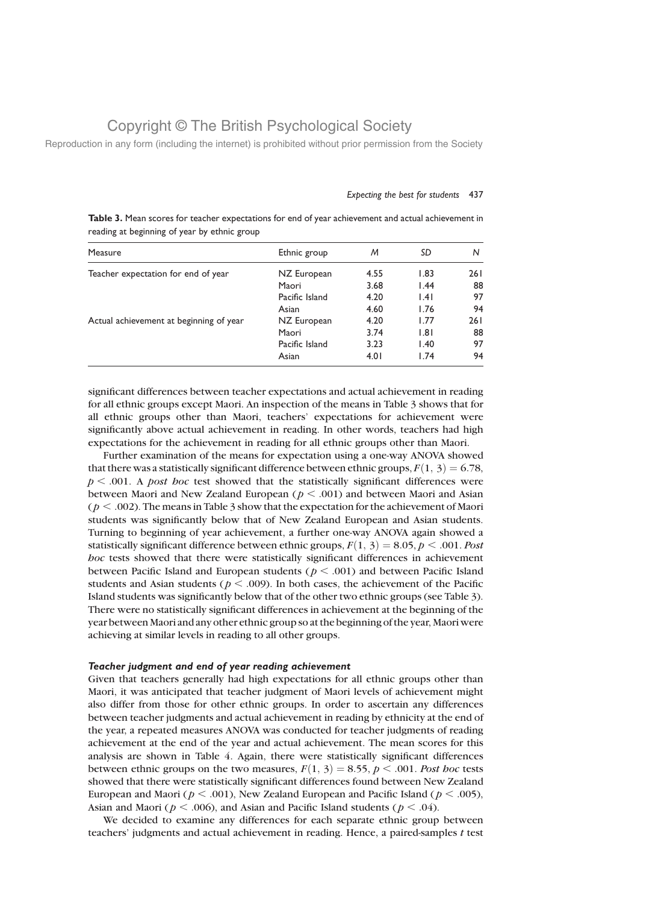Reproduction in any form (including the internet) is prohibited without prior permission from the Society

#### Expecting the best for students 437

Table 3. Mean scores for teacher expectations for end of year achievement and actual achievement in reading at beginning of year by ethnic group

| Measure                                 | Ethnic group   | M    | SD   | N   |
|-----------------------------------------|----------------|------|------|-----|
| Teacher expectation for end of year     | NZ European    | 4.55 | 1.83 | 261 |
|                                         | Maori          | 3.68 | 1.44 | 88  |
|                                         | Pacific Island | 4.20 | 1.41 | 97  |
|                                         | Asian          | 4.60 | 1.76 | 94  |
| Actual achievement at beginning of year | NZ European    | 4.20 | 1.77 | 261 |
|                                         | Maori          | 3.74 | 1.81 | 88  |
|                                         | Pacific Island | 3.23 | 1.40 | 97  |
|                                         | Asian          | 4.01 | 1.74 | 94  |

significant differences between teacher expectations and actual achievement in reading for all ethnic groups except Maori. An inspection of the means in Table 3 shows that for all ethnic groups other than Maori, teachers' expectations for achievement were significantly above actual achievement in reading. In other words, teachers had high expectations for the achievement in reading for all ethnic groups other than Maori.

Further examination of the means for expectation using a one-way ANOVA showed that there was a statistically significant difference between ethnic groups,  $F(1, 3) = 6.78$ ,  $p < .001$ . A *post hoc* test showed that the statistically significant differences were between Maori and New Zealand European ( $p < .001$ ) and between Maori and Asian ( $p < .002$ ). The means in Table 3 show that the expectation for the achievement of Maori students was significantly below that of New Zealand European and Asian students. Turning to beginning of year achievement, a further one-way ANOVA again showed a statistically significant difference between ethnic groups,  $F(1, 3) = 8.05$ ,  $p < .001$ . Post hoc tests showed that there were statistically significant differences in achievement between Pacific Island and European students ( $p < .001$ ) and between Pacific Island students and Asian students ( $p < .009$ ). In both cases, the achievement of the Pacific Island students was significantly below that of the other two ethnic groups (see Table 3). There were no statistically significant differences in achievement at the beginning of the year between Maori and any other ethnic group so at the beginning of the year, Maori were achieving at similar levels in reading to all other groups.

### Teacher judgment and end of year reading achievement

Given that teachers generally had high expectations for all ethnic groups other than Maori, it was anticipated that teacher judgment of Maori levels of achievement might also differ from those for other ethnic groups. In order to ascertain any differences between teacher judgments and actual achievement in reading by ethnicity at the end of the year, a repeated measures ANOVA was conducted for teacher judgments of reading achievement at the end of the year and actual achievement. The mean scores for this analysis are shown in Table 4. Again, there were statistically significant differences between ethnic groups on the two measures,  $F(1, 3) = 8.55$ ,  $p < .001$ . Post hoc tests showed that there were statistically significant differences found between New Zealand European and Maori ( $p < .001$ ), New Zealand European and Pacific Island ( $p < .005$ ), Asian and Maori ( $p < .006$ ), and Asian and Pacific Island students ( $p < .04$ ).

We decided to examine any differences for each separate ethnic group between teachers' judgments and actual achievement in reading. Hence, a paired-samples t test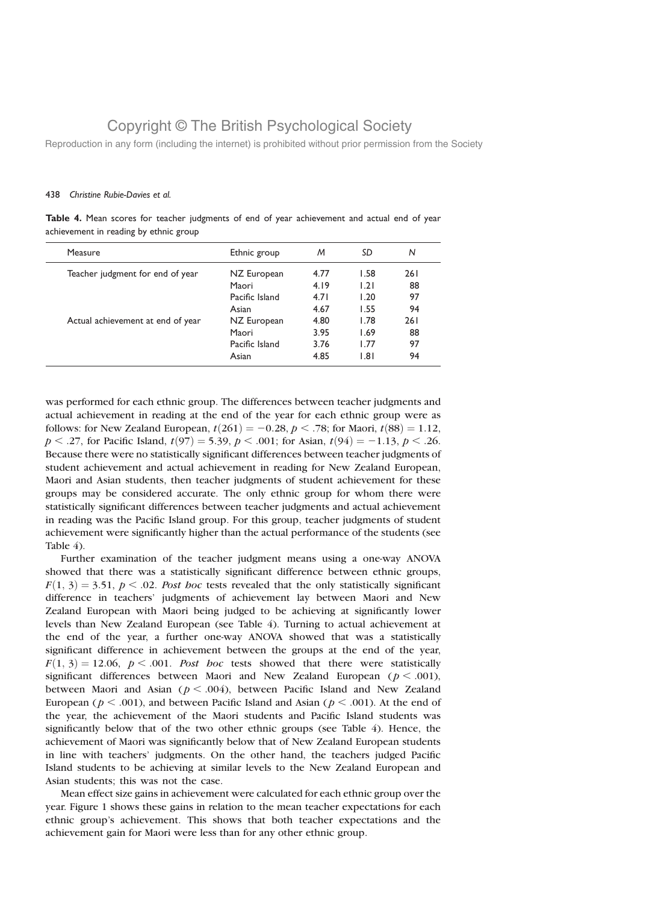Reproduction in any form (including the internet) is prohibited without prior permission from the Society

### 438 Christine Rubie-Davies et al.

Table 4. Mean scores for teacher judgments of end of year achievement and actual end of year achievement in reading by ethnic group

| Measure                           | Ethnic group   | M    | SD   | N   |
|-----------------------------------|----------------|------|------|-----|
| Teacher judgment for end of year  | NZ European    | 4.77 | 1.58 | 261 |
|                                   | Maori          | 4.19 | 1.21 | 88  |
|                                   | Pacific Island | 4.71 | 1.20 | 97  |
|                                   | Asian          | 4.67 | 1.55 | 94  |
| Actual achievement at end of year | NZ European    | 4.80 | 1.78 | 261 |
|                                   | Maori          | 3.95 | 1.69 | 88  |
|                                   | Pacific Island | 3.76 | 1.77 | 97  |
|                                   | Asian          | 4.85 | 1.81 | 94  |

was performed for each ethnic group. The differences between teacher judgments and actual achievement in reading at the end of the year for each ethnic group were as follows: for New Zealand European,  $t(261) = -0.28$ ,  $p < .78$ ; for Maori,  $t(88) = 1.12$ ,  $p < .27$ , for Pacific Island,  $t(97) = 5.39$ ,  $p < .001$ ; for Asian,  $t(94) = -1.13$ ,  $p < .26$ . Because there were no statistically significant differences between teacher judgments of student achievement and actual achievement in reading for New Zealand European, Maori and Asian students, then teacher judgments of student achievement for these groups may be considered accurate. The only ethnic group for whom there were statistically significant differences between teacher judgments and actual achievement in reading was the Pacific Island group. For this group, teacher judgments of student achievement were significantly higher than the actual performance of the students (see Table 4).

Further examination of the teacher judgment means using a one-way ANOVA showed that there was a statistically significant difference between ethnic groups,  $F(1, 3) = 3.51$ ,  $p < .02$ . Post hoc tests revealed that the only statistically significant difference in teachers' judgments of achievement lay between Maori and New Zealand European with Maori being judged to be achieving at significantly lower levels than New Zealand European (see Table 4). Turning to actual achievement at the end of the year, a further one-way ANOVA showed that was a statistically significant difference in achievement between the groups at the end of the year,  $F(1, 3) = 12.06$ ,  $p < .001$ . Post hoc tests showed that there were statistically significant differences between Maori and New Zealand European ( $p < .001$ ), between Maori and Asian ( $p < .004$ ), between Pacific Island and New Zealand European ( $p < .001$ ), and between Pacific Island and Asian ( $p < .001$ ). At the end of the year, the achievement of the Maori students and Pacific Island students was significantly below that of the two other ethnic groups (see Table 4). Hence, the achievement of Maori was significantly below that of New Zealand European students in line with teachers' judgments. On the other hand, the teachers judged Pacific Island students to be achieving at similar levels to the New Zealand European and Asian students; this was not the case.

Mean effect size gains in achievement were calculated for each ethnic group over the year. Figure 1 shows these gains in relation to the mean teacher expectations for each ethnic group's achievement. This shows that both teacher expectations and the achievement gain for Maori were less than for any other ethnic group.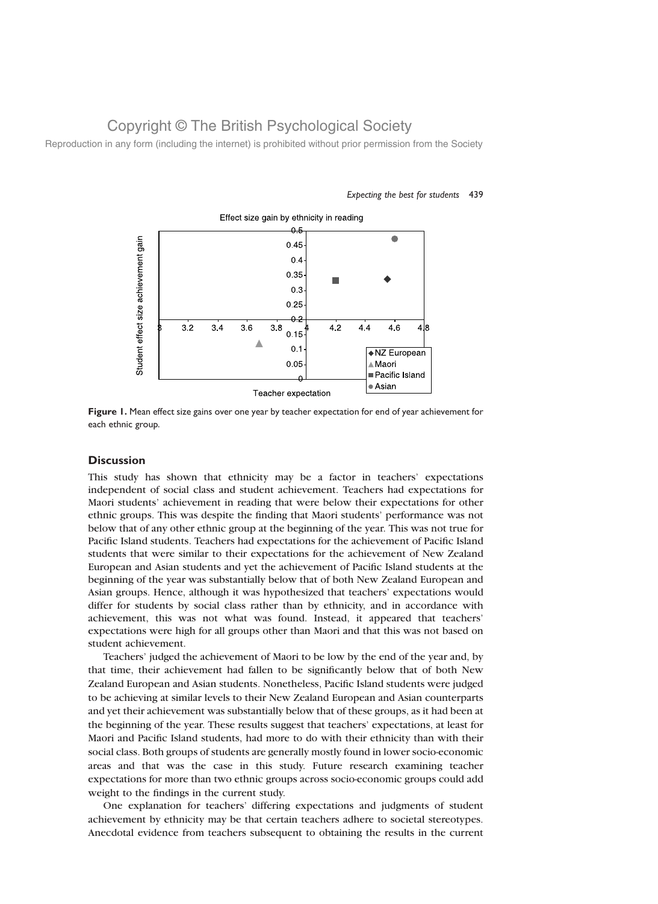Reproduction in any form (including the internet) is prohibited without prior permission from the Society



Expecting the best for students 439

Figure 1. Mean effect size gains over one year by teacher expectation for end of year achievement for each ethnic group.

### **Discussion**

This study has shown that ethnicity may be a factor in teachers' expectations independent of social class and student achievement. Teachers had expectations for Maori students' achievement in reading that were below their expectations for other ethnic groups. This was despite the finding that Maori students' performance was not below that of any other ethnic group at the beginning of the year. This was not true for Pacific Island students. Teachers had expectations for the achievement of Pacific Island students that were similar to their expectations for the achievement of New Zealand European and Asian students and yet the achievement of Pacific Island students at the beginning of the year was substantially below that of both New Zealand European and Asian groups. Hence, although it was hypothesized that teachers' expectations would differ for students by social class rather than by ethnicity, and in accordance with achievement, this was not what was found. Instead, it appeared that teachers' expectations were high for all groups other than Maori and that this was not based on student achievement.

Teachers' judged the achievement of Maori to be low by the end of the year and, by that time, their achievement had fallen to be significantly below that of both New Zealand European and Asian students. Nonetheless, Pacific Island students were judged to be achieving at similar levels to their New Zealand European and Asian counterparts and yet their achievement was substantially below that of these groups, as it had been at the beginning of the year. These results suggest that teachers' expectations, at least for Maori and Pacific Island students, had more to do with their ethnicity than with their social class. Both groups of students are generally mostly found in lower socio-economic areas and that was the case in this study. Future research examining teacher expectations for more than two ethnic groups across socio-economic groups could add weight to the findings in the current study.

One explanation for teachers' differing expectations and judgments of student achievement by ethnicity may be that certain teachers adhere to societal stereotypes. Anecdotal evidence from teachers subsequent to obtaining the results in the current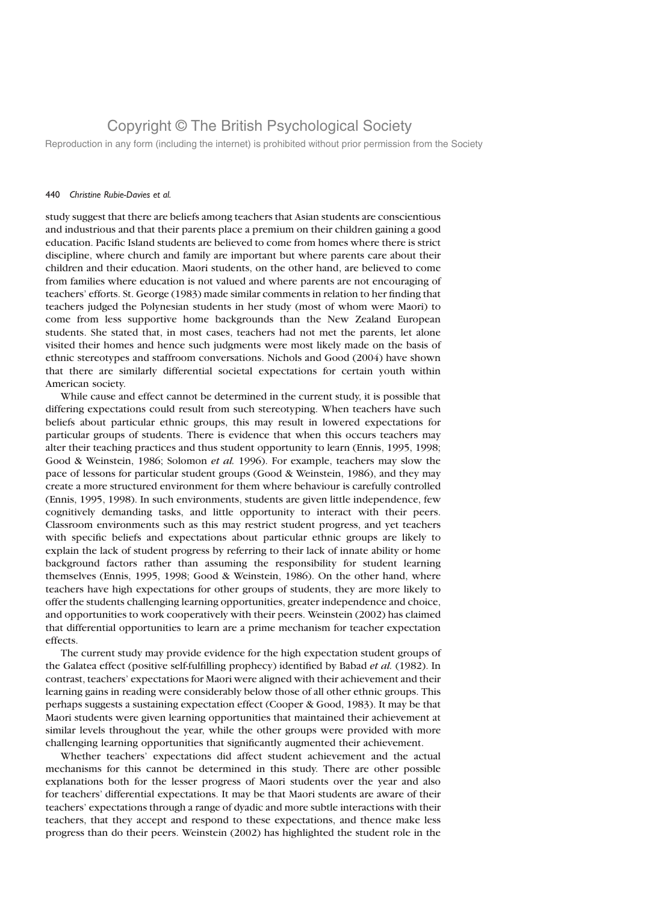Reproduction in any form (including the internet) is prohibited without prior permission from the Society

#### 440 Christine Rubie-Davies et al.

study suggest that there are beliefs among teachers that Asian students are conscientious and industrious and that their parents place a premium on their children gaining a good education. Pacific Island students are believed to come from homes where there is strict discipline, where church and family are important but where parents care about their children and their education. Maori students, on the other hand, are believed to come from families where education is not valued and where parents are not encouraging of teachers' efforts. St. George (1983) made similar comments in relation to her finding that teachers judged the Polynesian students in her study (most of whom were Maori) to come from less supportive home backgrounds than the New Zealand European students. She stated that, in most cases, teachers had not met the parents, let alone visited their homes and hence such judgments were most likely made on the basis of ethnic stereotypes and staffroom conversations. Nichols and Good (2004) have shown that there are similarly differential societal expectations for certain youth within American society.

While cause and effect cannot be determined in the current study, it is possible that differing expectations could result from such stereotyping. When teachers have such beliefs about particular ethnic groups, this may result in lowered expectations for particular groups of students. There is evidence that when this occurs teachers may alter their teaching practices and thus student opportunity to learn (Ennis, 1995, 1998; Good & Weinstein, 1986; Solomon et al. 1996). For example, teachers may slow the pace of lessons for particular student groups (Good & Weinstein, 1986), and they may create a more structured environment for them where behaviour is carefully controlled (Ennis, 1995, 1998). In such environments, students are given little independence, few cognitively demanding tasks, and little opportunity to interact with their peers. Classroom environments such as this may restrict student progress, and yet teachers with specific beliefs and expectations about particular ethnic groups are likely to explain the lack of student progress by referring to their lack of innate ability or home background factors rather than assuming the responsibility for student learning themselves (Ennis, 1995, 1998; Good & Weinstein, 1986). On the other hand, where teachers have high expectations for other groups of students, they are more likely to offer the students challenging learning opportunities, greater independence and choice, and opportunities to work cooperatively with their peers. Weinstein (2002) has claimed that differential opportunities to learn are a prime mechanism for teacher expectation effects.

The current study may provide evidence for the high expectation student groups of the Galatea effect (positive self-fulfilling prophecy) identified by Babad et al. (1982). In contrast, teachers' expectations for Maori were aligned with their achievement and their learning gains in reading were considerably below those of all other ethnic groups. This perhaps suggests a sustaining expectation effect (Cooper & Good, 1983). It may be that Maori students were given learning opportunities that maintained their achievement at similar levels throughout the year, while the other groups were provided with more challenging learning opportunities that significantly augmented their achievement.

Whether teachers' expectations did affect student achievement and the actual mechanisms for this cannot be determined in this study. There are other possible explanations both for the lesser progress of Maori students over the year and also for teachers' differential expectations. It may be that Maori students are aware of their teachers' expectations through a range of dyadic and more subtle interactions with their teachers, that they accept and respond to these expectations, and thence make less progress than do their peers. Weinstein (2002) has highlighted the student role in the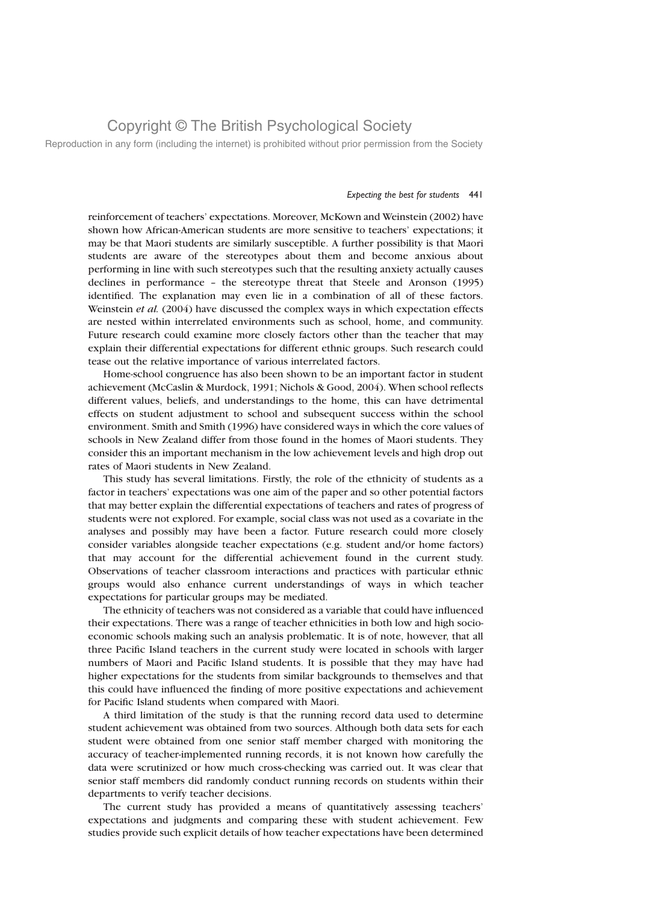Reproduction in any form (including the internet) is prohibited without prior permission from the Society

### Expecting the best for students 441

reinforcement of teachers' expectations. Moreover, McKown and Weinstein (2002) have shown how African-American students are more sensitive to teachers' expectations; it may be that Maori students are similarly susceptible. A further possibility is that Maori students are aware of the stereotypes about them and become anxious about performing in line with such stereotypes such that the resulting anxiety actually causes declines in performance – the stereotype threat that Steele and Aronson (1995) identified. The explanation may even lie in a combination of all of these factors. Weinstein et al. (2004) have discussed the complex ways in which expectation effects are nested within interrelated environments such as school, home, and community. Future research could examine more closely factors other than the teacher that may explain their differential expectations for different ethnic groups. Such research could tease out the relative importance of various interrelated factors.

Home-school congruence has also been shown to be an important factor in student achievement (McCaslin & Murdock, 1991; Nichols & Good, 2004). When school reflects different values, beliefs, and understandings to the home, this can have detrimental effects on student adjustment to school and subsequent success within the school environment. Smith and Smith (1996) have considered ways in which the core values of schools in New Zealand differ from those found in the homes of Maori students. They consider this an important mechanism in the low achievement levels and high drop out rates of Maori students in New Zealand.

This study has several limitations. Firstly, the role of the ethnicity of students as a factor in teachers' expectations was one aim of the paper and so other potential factors that may better explain the differential expectations of teachers and rates of progress of students were not explored. For example, social class was not used as a covariate in the analyses and possibly may have been a factor. Future research could more closely consider variables alongside teacher expectations (e.g. student and/or home factors) that may account for the differential achievement found in the current study. Observations of teacher classroom interactions and practices with particular ethnic groups would also enhance current understandings of ways in which teacher expectations for particular groups may be mediated.

The ethnicity of teachers was not considered as a variable that could have influenced their expectations. There was a range of teacher ethnicities in both low and high socioeconomic schools making such an analysis problematic. It is of note, however, that all three Pacific Island teachers in the current study were located in schools with larger numbers of Maori and Pacific Island students. It is possible that they may have had higher expectations for the students from similar backgrounds to themselves and that this could have influenced the finding of more positive expectations and achievement for Pacific Island students when compared with Maori.

A third limitation of the study is that the running record data used to determine student achievement was obtained from two sources. Although both data sets for each student were obtained from one senior staff member charged with monitoring the accuracy of teacher-implemented running records, it is not known how carefully the data were scrutinized or how much cross-checking was carried out. It was clear that senior staff members did randomly conduct running records on students within their departments to verify teacher decisions.

The current study has provided a means of quantitatively assessing teachers' expectations and judgments and comparing these with student achievement. Few studies provide such explicit details of how teacher expectations have been determined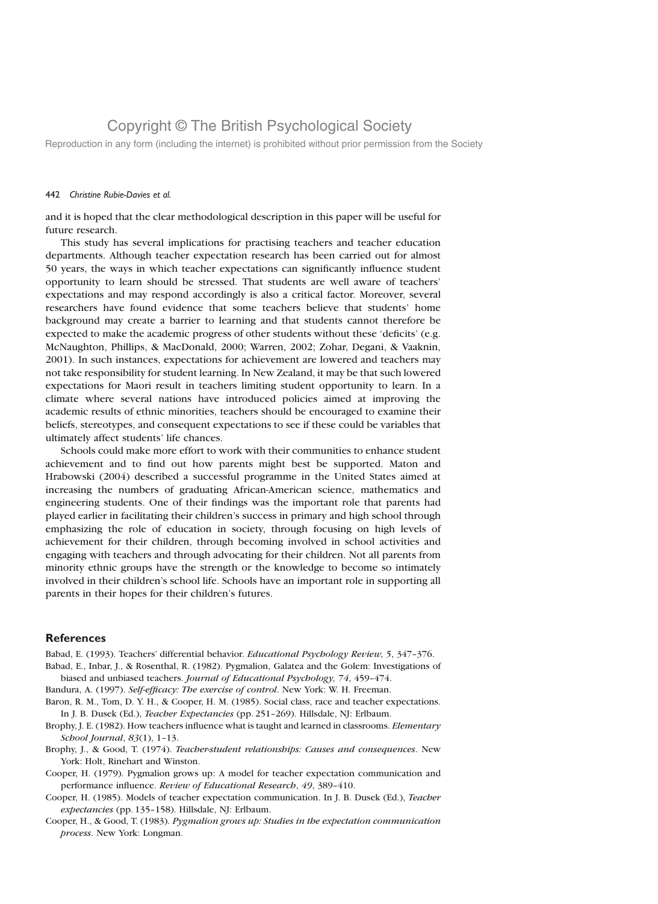Reproduction in any form (including the internet) is prohibited without prior permission from the Society

### 442 Christine Rubie-Davies et al.

and it is hoped that the clear methodological description in this paper will be useful for future research.

This study has several implications for practising teachers and teacher education departments. Although teacher expectation research has been carried out for almost 50 years, the ways in which teacher expectations can significantly influence student opportunity to learn should be stressed. That students are well aware of teachers' expectations and may respond accordingly is also a critical factor. Moreover, several researchers have found evidence that some teachers believe that students' home background may create a barrier to learning and that students cannot therefore be expected to make the academic progress of other students without these 'deficits' (e.g. McNaughton, Phillips, & MacDonald, 2000; Warren, 2002; Zohar, Degani, & Vaaknin, 2001). In such instances, expectations for achievement are lowered and teachers may not take responsibility for student learning. In New Zealand, it may be that such lowered expectations for Maori result in teachers limiting student opportunity to learn. In a climate where several nations have introduced policies aimed at improving the academic results of ethnic minorities, teachers should be encouraged to examine their beliefs, stereotypes, and consequent expectations to see if these could be variables that ultimately affect students' life chances.

Schools could make more effort to work with their communities to enhance student achievement and to find out how parents might best be supported. Maton and Hrabowski (2004) described a successful programme in the United States aimed at increasing the numbers of graduating African-American science, mathematics and engineering students. One of their findings was the important role that parents had played earlier in facilitating their children's success in primary and high school through emphasizing the role of education in society, through focusing on high levels of achievement for their children, through becoming involved in school activities and engaging with teachers and through advocating for their children. Not all parents from minority ethnic groups have the strength or the knowledge to become so intimately involved in their children's school life. Schools have an important role in supporting all parents in their hopes for their children's futures.

### **References**

Babad, E. (1993). Teachers' differential behavior. Educational Psychology Review, 5, 347–376.

Babad, E., Inbar, J., & Rosenthal, R. (1982). Pygmalion, Galatea and the Golem: Investigations of biased and unbiased teachers. Journal of Educational Psychology, 74, 459–474.

Bandura, A. (1997). Self-efficacy: The exercise of control. New York: W. H. Freeman.

- Baron, R. M., Tom, D. Y. H., & Cooper, H. M. (1985). Social class, race and teacher expectations. In J. B. Dusek (Ed.), Teacher Expectancies (pp. 251–269). Hillsdale, NJ: Erlbaum.
- Brophy, J. E. (1982). How teachers influence what is taught and learned in classrooms. *Elementary* School Journal, 83(1), 1–13.
- Brophy, J., & Good, T. (1974). Teacher-student relationships: Causes and consequences. New York: Holt, Rinehart and Winston.
- Cooper, H. (1979). Pygmalion grows up: A model for teacher expectation communication and performance influence. Review of Educational Research, 49, 389–410.
- Cooper, H. (1985). Models of teacher expectation communication. In J. B. Dusek (Ed.), Teacher expectancies (pp. 135–158). Hillsdale, NJ: Erlbaum.
- Cooper, H., & Good, T. (1983). Pygmalion grows up: Studies in the expectation communication process. New York: Longman.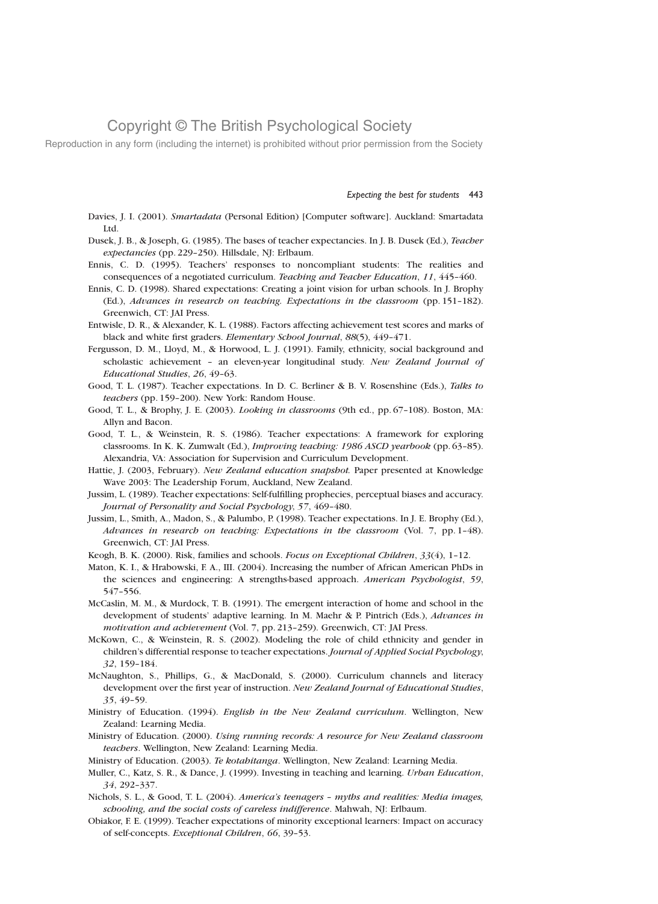Reproduction in any form (including the internet) is prohibited without prior permission from the Society

Expecting the best for students 443

- Davies, J. I. (2001). Smartadata (Personal Edition) [Computer software]. Auckland: Smartadata Ltd.
- Dusek, J. B., & Joseph, G. (1985). The bases of teacher expectancies. In J. B. Dusek (Ed.), Teacher expectancies (pp. 229–250). Hillsdale, NJ: Erlbaum.
- Ennis, C. D. (1995). Teachers' responses to noncompliant students: The realities and consequences of a negotiated curriculum. Teaching and Teacher Education, 11, 445–460.
- Ennis, C. D. (1998). Shared expectations: Creating a joint vision for urban schools. In J. Brophy (Ed.), Advances in research on teaching. Expectations in the classroom (pp. 151–182). Greenwich, CT: JAI Press.
- Entwisle, D. R., & Alexander, K. L. (1988). Factors affecting achievement test scores and marks of black and white first graders. Elementary School Journal, 88(5), 449–471.
- Fergusson, D. M., Lloyd, M., & Horwood, L. J. (1991). Family, ethnicity, social background and scholastic achievement - an eleven-year longitudinal study. New Zealand Journal of Educational Studies, 26, 49–63.
- Good, T. L. (1987). Teacher expectations. In D. C. Berliner & B. V. Rosenshine (Eds.), Talks to teachers (pp. 159–200). New York: Random House.
- Good, T. L., & Brophy, J. E. (2003). Looking in classrooms (9th ed., pp. 67–108). Boston, MA: Allyn and Bacon.
- Good, T. L., & Weinstein, R. S. (1986). Teacher expectations: A framework for exploring classrooms. In K. K. Zumwalt (Ed.), Improving teaching: 1986 ASCD yearbook (pp. 63–85). Alexandria, VA: Association for Supervision and Curriculum Development.
- Hattie, J. (2003, February). New Zealand education snapshot. Paper presented at Knowledge Wave 2003: The Leadership Forum, Auckland, New Zealand.
- Jussim, L. (1989). Teacher expectations: Self-fulfilling prophecies, perceptual biases and accuracy. Journal of Personality and Social Psychology, 57, 469–480.
- Jussim, L., Smith, A., Madon, S., & Palumbo, P. (1998). Teacher expectations. In J. E. Brophy (Ed.), Advances in research on teaching: Expectations in the classroom (Vol. 7, pp. 1–48). Greenwich, CT: JAI Press.
- Keogh, B. K. (2000). Risk, families and schools. Focus on Exceptional Children, 33(4), 1–12.
- Maton, K. I., & Hrabowski, F. A., III. (2004). Increasing the number of African American PhDs in the sciences and engineering: A strengths-based approach. American Psychologist, 59, 547–556.
- McCaslin, M. M., & Murdock, T. B. (1991). The emergent interaction of home and school in the development of students' adaptive learning. In M. Maehr & P. Pintrich (Eds.), *Advances in* motivation and achievement (Vol. 7, pp. 213–259). Greenwich, CT: JAI Press.
- McKown, C., & Weinstein, R. S. (2002). Modeling the role of child ethnicity and gender in children's differential response to teacher expectations. Journal of Applied Social Psychology, 32, 159–184.
- McNaughton, S., Phillips, G., & MacDonald, S. (2000). Curriculum channels and literacy development over the first year of instruction. New Zealand Journal of Educational Studies, 35, 49–59.
- Ministry of Education. (1994). English in the New Zealand curriculum. Wellington, New Zealand: Learning Media.
- Ministry of Education. (2000). Using running records: A resource for New Zealand classroom teachers. Wellington, New Zealand: Learning Media.
- Ministry of Education. (2003). Te kotahitanga. Wellington, New Zealand: Learning Media.
- Muller, C., Katz, S. R., & Dance, J. (1999). Investing in teaching and learning. Urban Education, 34, 292–337.
- Nichols, S. L., & Good, T. L. (2004). America's teenagers myths and realities: Media images, schooling, and the social costs of careless indifference. Mahwah, NJ: Erlbaum.
- Obiakor, F. E. (1999). Teacher expectations of minority exceptional learners: Impact on accuracy of self-concepts. Exceptional Children, 66, 39–53.